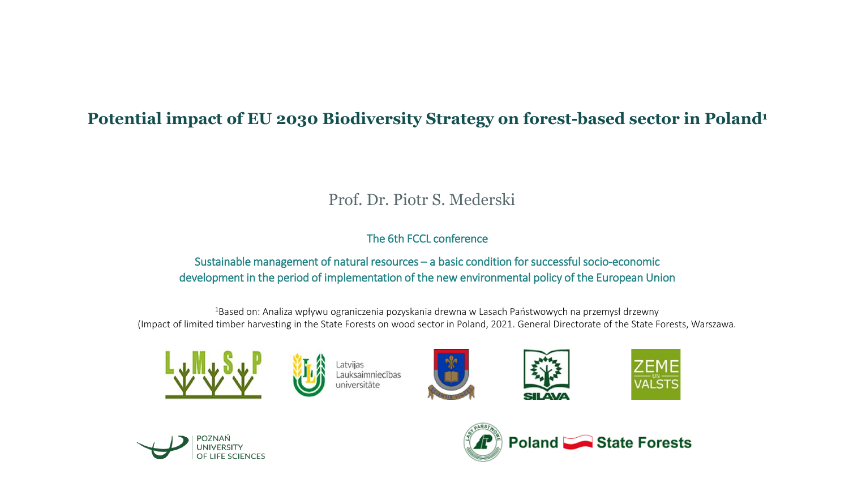#### **Potential impact of EU 2030 Biodiversity Strategy on forest-based sector in Poland<sup>1</sup>**

#### Prof. Dr. Piotr S. Mederski

#### The 6th FCCL conference

#### Sustainable management of natural resources – a basic condition for successful socio-economic development in the period of implementation of the new environmental policy of the European Union

<sup>1</sup>Based on: Analiza wpływu ograniczenia pozyskania drewna w Lasach Państwowych na przemysł drzewny (Impact of limited timber harvesting in the State Forests on wood sector in Poland, 2021. General Directorate of the State Forests, Warszawa.



atvijas Lauksaimniecības universitäte









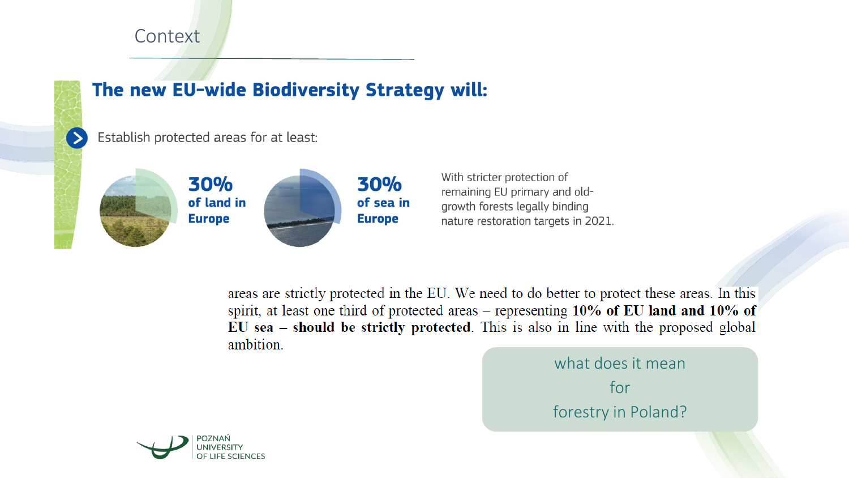#### **Context**



#### The new EU-wide Biodiversity Strategy will:

Establish protected areas for at least:



With stricter protection of remaining EU primary and oldgrowth forests legally binding nature restoration targets in 2021.

areas are strictly protected in the EU. We need to do better to protect these areas. In this spirit, at least one third of protected areas - representing 10% of EU land and 10% of EU sea - should be strictly protected. This is also in line with the proposed global ambition.

> what does it mean for forestry in Poland?

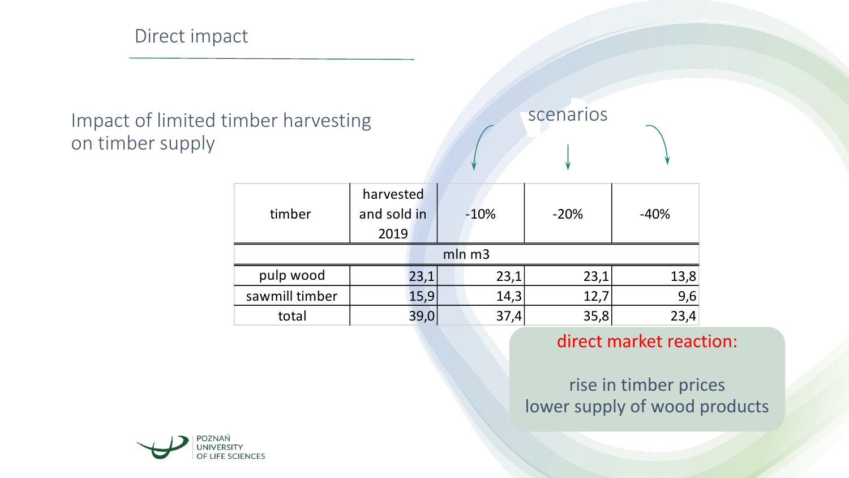## Impact of limited timber harvesting on timber supply

# scenarios

| timber         | harvested<br>and sold in<br>2019 |      | $-10%$ | $-20%$ | $-40%$ |
|----------------|----------------------------------|------|--------|--------|--------|
| $mln \, m3$    |                                  |      |        |        |        |
| pulp wood      |                                  | 23,1 | 23,1   | 23,1   | 13,8   |
| sawmill timber |                                  | 15,9 | 14,3   | 12,7   | 9,6    |
| total          |                                  | 39,C |        | 35,8   | 23,4   |

#### direct market reaction:

#### rise in timber prices lower supply of wood products

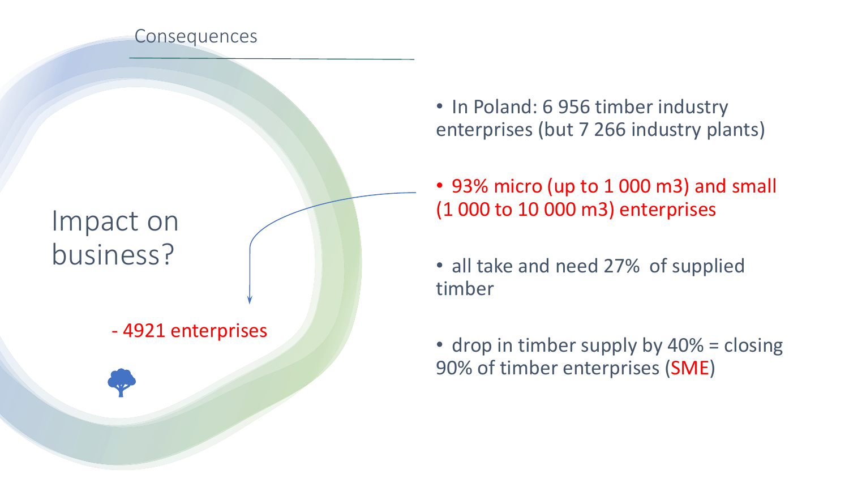

## Impact on business?

### - 4921 enterprises



• 93% micro (up to 1 000 m3) and small (1 000 to 10 000 m3) enterprises

• all take and need 27% of supplied timber

• drop in timber supply by 40% = closing 90% of timber enterprises (SME)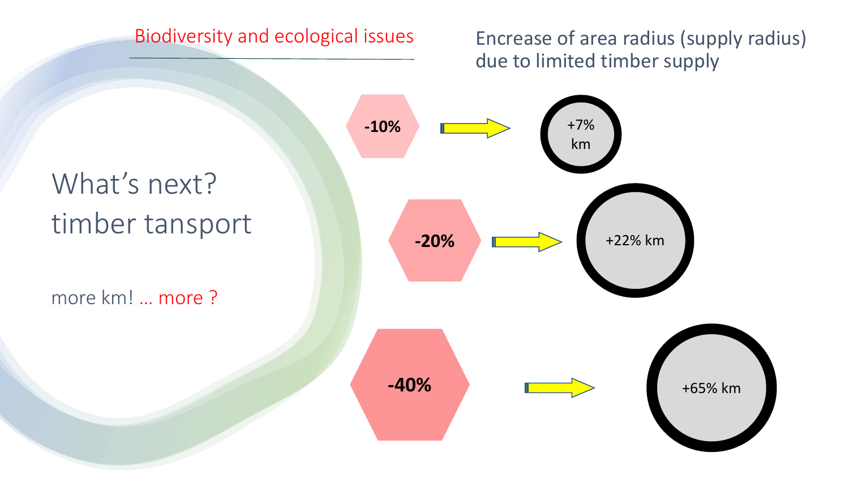#### Biodiversity and ecological issues

Encrease of area radius (supply radius) due to limited timber supply

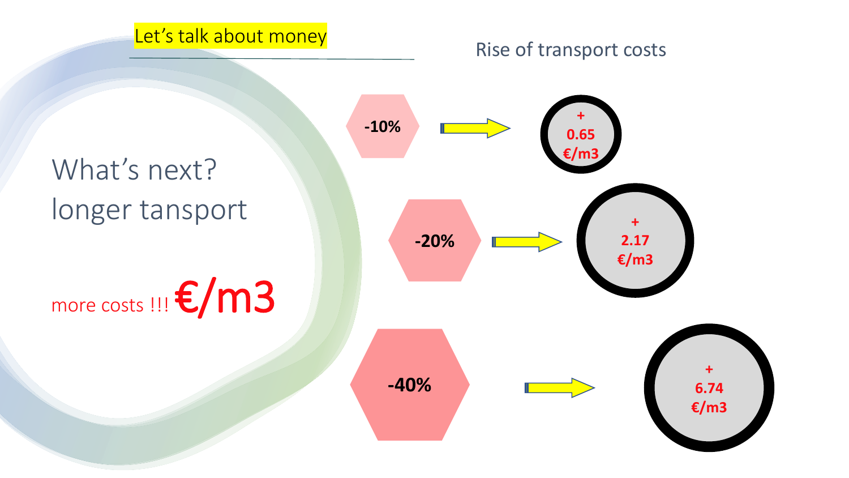#### Let's talk about money

#### Rise of transport costs

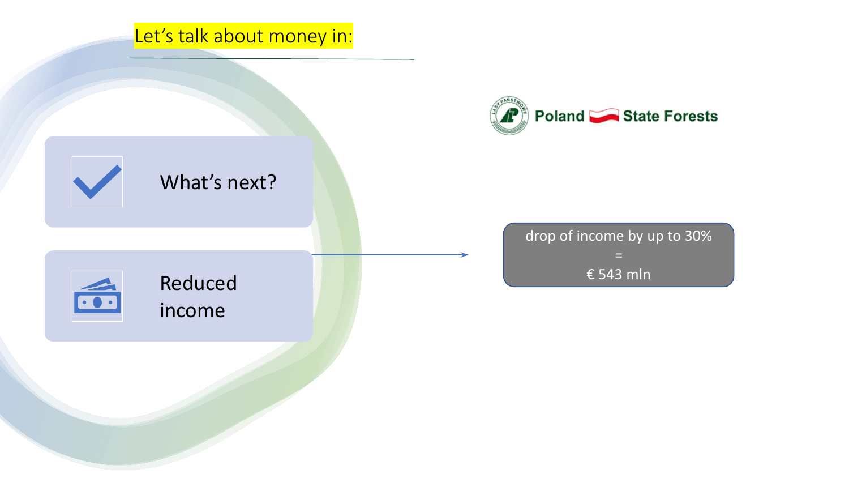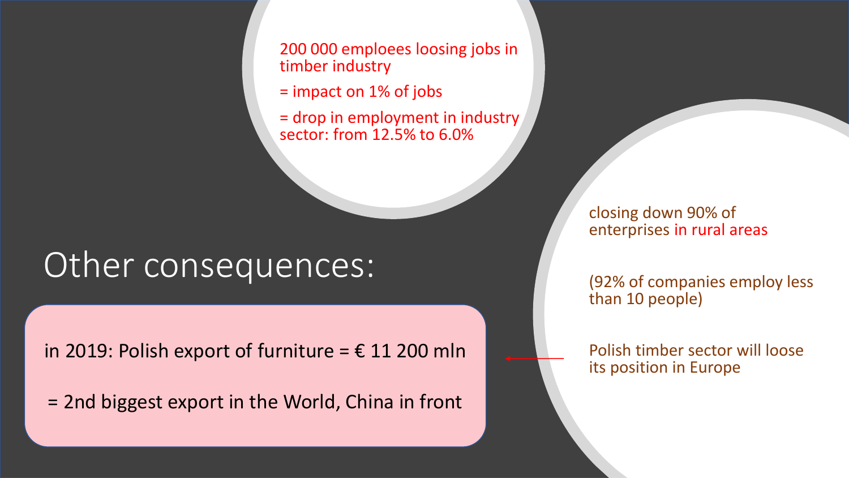200 000 emploees loosing jobs in timber industry

= impact on 1% of jobs

= drop in employment in industry sector: from 12.5% to 6.0%

# Other consequences:

in 2019: Polish export of furniture =  $\epsilon$  11 200 mln

= 2nd biggest export in the World, China in front

closing down 90% of enterprises in rural areas

(92% of companies employ less than 10 people)

Polish timber sector will loose its position in Europe